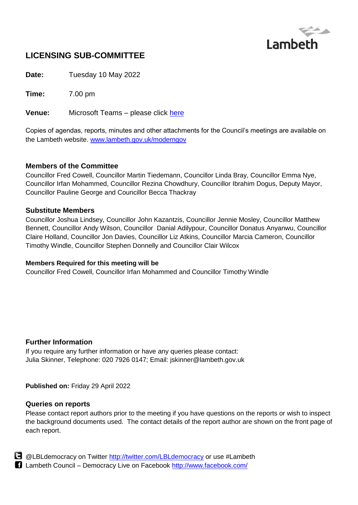

# **LICENSING SUB-COMMITTEE**

**Date:** Tuesday 10 May 2022

**Time:** 7.00 pm

**Venue:** Microsoft Teams – please click [here](https://teams.microsoft.com/l/meetup-join/19%3ameeting_Y2E1MjM4MjgtMzJjNi00YTc1LTk5NTQtMTcwYWI2MTA2MDg4%40thread.v2/0?context=%7b%22Tid%22%3a%22c4f22780-485f-4507-af4a-60a971d6f7fe%22%2c%22Oid%22%3a%22d71c4aaa-8845-4aec-9991-c95116436e4f%22%2c%22IsBroadcastMeeting%22%3atrue%7d&btype=a&role=a)

Copies of agendas, reports, minutes and other attachments for the Council's meetings are available on the Lambeth website. [www.lambeth.gov.uk/moderngov](http://www.lambeth.gov.uk/moderngov)

## **Members of the Committee**

Councillor Fred Cowell, Councillor Martin Tiedemann, Councillor Linda Bray, Councillor Emma Nye, Councillor Irfan Mohammed, Councillor Rezina Chowdhury, Councillor Ibrahim Dogus, Deputy Mayor, Councillor Pauline George and Councillor Becca Thackray

## **Substitute Members**

Councillor Joshua Lindsey, Councillor John Kazantzis, Councillor Jennie Mosley, Councillor Matthew Bennett, Councillor Andy Wilson, Councillor Danial Adilypour, Councillor Donatus Anyanwu, Councillor Claire Holland, Councillor Jon Davies, Councillor Liz Atkins, Councillor Marcia Cameron, Councillor Timothy Windle, Councillor Stephen Donnelly and Councillor Clair Wilcox

#### **Members Required for this meeting will be**

Councillor Fred Cowell, Councillor Irfan Mohammed and Councillor Timothy Windle

# **Further Information**

If you require any further information or have any queries please contact: Julia Skinner, Telephone: 020 7926 0147; Email: jskinner@lambeth.gov.uk

#### **Published on:** Friday 29 April 2022

#### **Queries on reports**

Please contact report authors prior to the meeting if you have questions on the reports or wish to inspect the background documents used. The contact details of the report author are shown on the front page of each report.



**B** @LBLdemocracy on Twitter<http://twitter.com/LBLdemocracy> or use #Lambeth Lambeth Council – Democracy Live on Facebook<http://www.facebook.com/>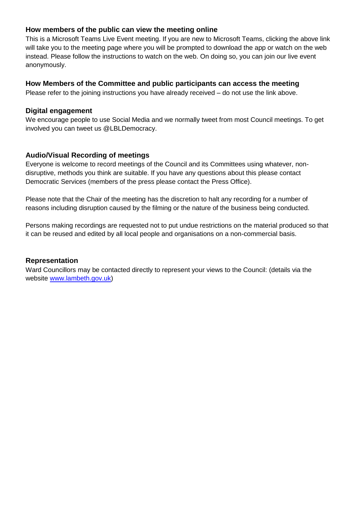## **How members of the public can view the meeting online**

This is a Microsoft Teams Live Event meeting. If you are new to Microsoft Teams, clicking the above link will take you to the meeting page where you will be prompted to download the app or watch on the web instead. Please follow the instructions to watch on the web. On doing so, you can join our live event anonymously.

#### **How Members of the Committee and public participants can access the meeting**

Please refer to the joining instructions you have already received – do not use the link above.

#### **Digital engagement**

We encourage people to use Social Media and we normally tweet from most Council meetings. To get involved you can tweet us @LBLDemocracy.

## **Audio/Visual Recording of meetings**

Everyone is welcome to record meetings of the Council and its Committees using whatever, nondisruptive, methods you think are suitable. If you have any questions about this please contact Democratic Services (members of the press please contact the Press Office).

Please note that the Chair of the meeting has the discretion to halt any recording for a number of reasons including disruption caused by the filming or the nature of the business being conducted.

Persons making recordings are requested not to put undue restrictions on the material produced so that it can be reused and edited by all local people and organisations on a non-commercial basis.

#### **Representation**

Ward Councillors may be contacted directly to represent your views to the Council: (details via the website [www.lambeth.gov.uk\)](http://www.lambeth.gov.uk/)